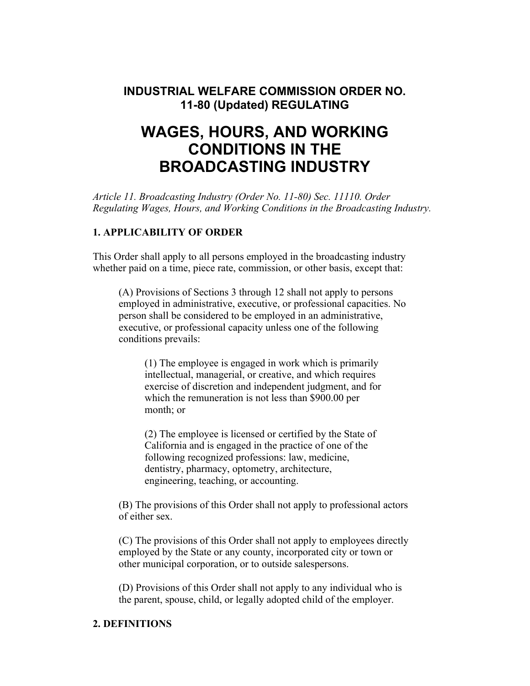## **INDUSTRIAL WELFARE COMMISSION ORDER NO. 11-80 (Updated) REGULATING**

# **WAGES, HOURS, AND WORKING CONDITIONS IN THE BROADCASTING INDUSTRY**

*Article 11. Broadcasting Industry (Order No. 11-80) Sec. 11110. Order Regulating Wages, Hours, and Working Conditions in the Broadcasting Industry.* 

## **1. APPLICABILITY OF ORDER**

This Order shall apply to all persons employed in the broadcasting industry whether paid on a time, piece rate, commission, or other basis, except that:

(A) Provisions of Sections 3 through 12 shall not apply to persons employed in administrative, executive, or professional capacities. No person shall be considered to be employed in an administrative, executive, or professional capacity unless one of the following conditions prevails:

(1) The employee is engaged in work which is primarily intellectual, managerial, or creative, and which requires exercise of discretion and independent judgment, and for which the remuneration is not less than \$900.00 per month; or

(2) The employee is licensed or certified by the State of California and is engaged in the practice of one of the following recognized professions: law, medicine, dentistry, pharmacy, optometry, architecture, engineering, teaching, or accounting.

(B) The provisions of this Order shall not apply to professional actors of either sex.

(C) The provisions of this Order shall not apply to employees directly employed by the State or any county, incorporated city or town or other municipal corporation, or to outside salespersons.

(D) Provisions of this Order shall not apply to any individual who is the parent, spouse, child, or legally adopted child of the employer.

## **2. DEFINITIONS**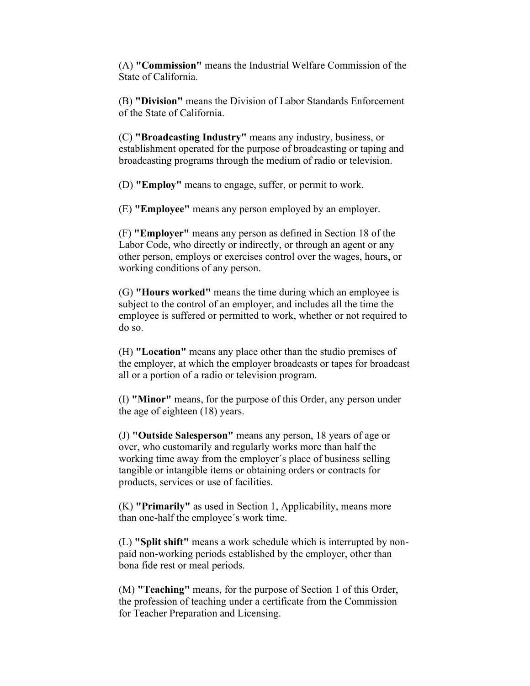(A) **"Commission"** means the Industrial Welfare Commission of the State of California.

(B) **"Division"** means the Division of Labor Standards Enforcement of the State of California.

(C) **"Broadcasting Industry"** means any industry, business, or establishment operated for the purpose of broadcasting or taping and broadcasting programs through the medium of radio or television.

(D) **"Employ"** means to engage, suffer, or permit to work.

(E) **"Employee"** means any person employed by an employer.

(F) **"Employer"** means any person as defined in Section 18 of the Labor Code, who directly or indirectly, or through an agent or any other person, employs or exercises control over the wages, hours, or working conditions of any person.

(G) **"Hours worked"** means the time during which an employee is subject to the control of an employer, and includes all the time the employee is suffered or permitted to work, whether or not required to do so.

(H) **"Location"** means any place other than the studio premises of the employer, at which the employer broadcasts or tapes for broadcast all or a portion of a radio or television program.

(I) **"Minor"** means, for the purpose of this Order, any person under the age of eighteen (18) years.

(J) **"Outside Salesperson"** means any person, 18 years of age or over, who customarily and regularly works more than half the working time away from the employer´s place of business selling tangible or intangible items or obtaining orders or contracts for products, services or use of facilities.

(K) **"Primarily"** as used in Section 1, Applicability, means more than one-half the employee´s work time.

(L) **"Split shift"** means a work schedule which is interrupted by nonpaid non-working periods established by the employer, other than bona fide rest or meal periods.

(M) **"Teaching"** means, for the purpose of Section 1 of this Order, the profession of teaching under a certificate from the Commission for Teacher Preparation and Licensing.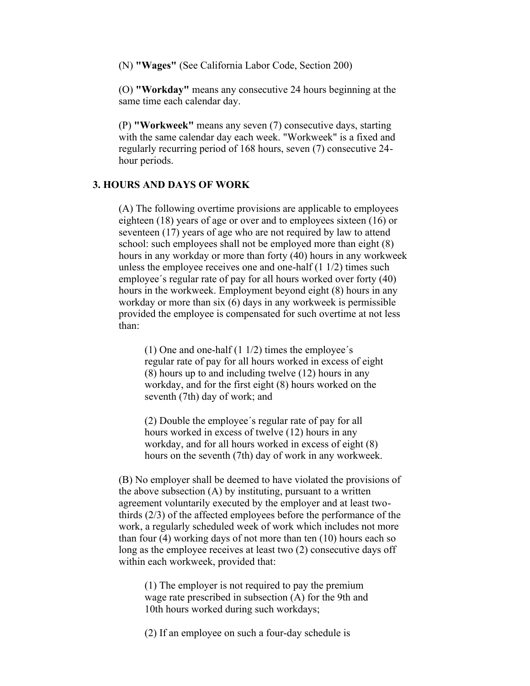(N) **"Wages"** (See California Labor Code, Section 200)

(O) **"Workday"** means any consecutive 24 hours beginning at the same time each calendar day.

(P) **"Workweek"** means any seven (7) consecutive days, starting with the same calendar day each week. "Workweek" is a fixed and regularly recurring period of 168 hours, seven (7) consecutive 24 hour periods.

#### **3. HOURS AND DAYS OF WORK**

(A) The following overtime provisions are applicable to employees eighteen (18) years of age or over and to employees sixteen (16) or seventeen (17) years of age who are not required by law to attend school: such employees shall not be employed more than eight (8) hours in any workday or more than forty (40) hours in any workweek unless the employee receives one and one-half (1 1/2) times such employee´s regular rate of pay for all hours worked over forty (40) hours in the workweek. Employment beyond eight (8) hours in any workday or more than six (6) days in any workweek is permissible provided the employee is compensated for such overtime at not less than:

(1) One and one-half  $(1\ 1/2)$  times the employee's regular rate of pay for all hours worked in excess of eight (8) hours up to and including twelve (12) hours in any workday, and for the first eight (8) hours worked on the seventh (7th) day of work; and

(2) Double the employee´s regular rate of pay for all hours worked in excess of twelve (12) hours in any workday, and for all hours worked in excess of eight (8) hours on the seventh (7th) day of work in any workweek.

(B) No employer shall be deemed to have violated the provisions of the above subsection (A) by instituting, pursuant to a written agreement voluntarily executed by the employer and at least twothirds (2/3) of the affected employees before the performance of the work, a regularly scheduled week of work which includes not more than four (4) working days of not more than ten (10) hours each so long as the employee receives at least two (2) consecutive days off within each workweek, provided that:

(1) The employer is not required to pay the premium wage rate prescribed in subsection (A) for the 9th and 10th hours worked during such workdays;

(2) If an employee on such a four-day schedule is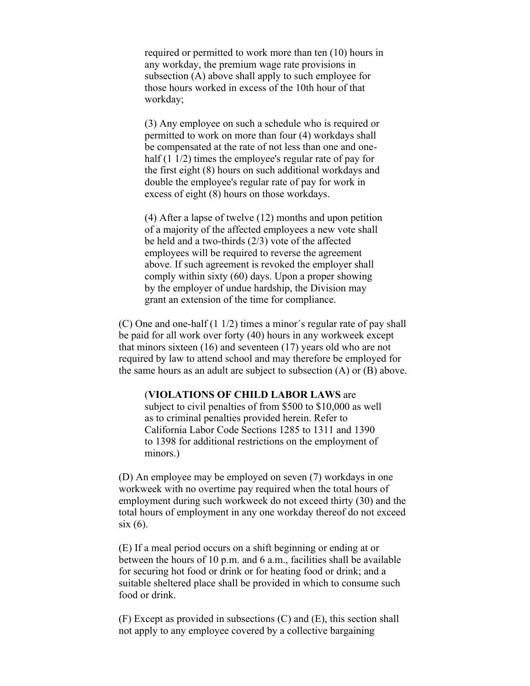required or permitted to work more than ten (10) hours in any workday, the premium wage rate provisions in subsection (A) above shall apply to such employee for those hours worked in excess of the 10th hour of that workday;

(3) Any employee on such a schedule who is required or permitted to work on more than four (4) workdays shall be compensated at the rate of not less than one and onehalf (1 1/2) times the employee's regular rate of pay for the first eight (8) hours on such additional workdays and double the employee's regular rate of pay for work in excess of eight (8) hours on those workdays.

(4) After a lapse of twelve (12) months and upon petition of a majority of the affected employees a new vote shall be held and a two-thirds (2/3) vote of the affected employees will be required to reverse the agreement above. If such agreement is revoked the employer shall comply within sixty (60) days. Upon a proper showing by the employer of undue hardship, the Division may grant an extension of the time for compliance.

(C) One and one-half (1 1/2) times a minor´s regular rate of pay shall be paid for all work over forty (40) hours in any workweek except that minors sixteen (16) and seventeen (17) years old who are not required by law to attend school and may therefore be employed for the same hours as an adult are subject to subsection (A) or (B) above.

#### (**VIOLATIONS OF CHILD LABOR LAWS** are

subject to civil penalties of from \$500 to \$10,000 as well as to criminal penalties provided herein. Refer to California Labor Code Sections 1285 to 1311 and 1390 to 1398 for additional restrictions on the employment of minors.)

(D) An employee may be employed on seven (7) workdays in one workweek with no overtime pay required when the total hours of employment during such workweek do not exceed thirty (30) and the total hours of employment in any one workday thereof do not exceed six (6).

(E) If a meal period occurs on a shift beginning or ending at or between the hours of 10 p.m. and 6 a.m., facilities shall be available for securing hot food or drink or for heating food or drink; and a suitable sheltered place shall be provided in which to consume such food or drink.

(F) Except as provided in subsections (C) and (E), this section shall not apply to any employee covered by a collective bargaining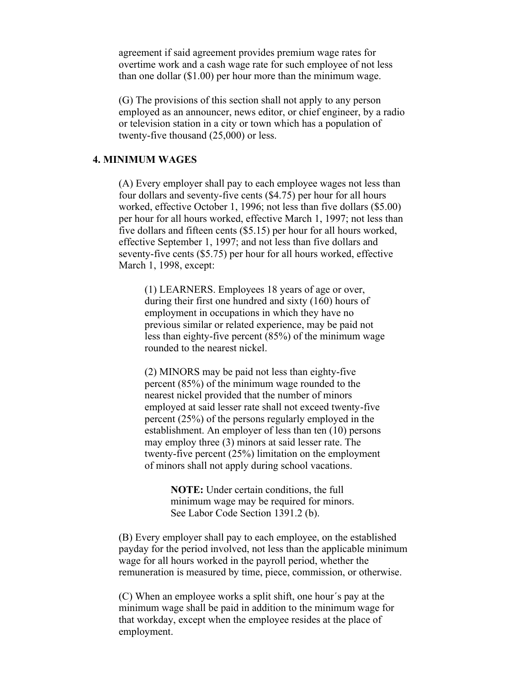agreement if said agreement provides premium wage rates for overtime work and a cash wage rate for such employee of not less than one dollar (\$1.00) per hour more than the minimum wage.

(G) The provisions of this section shall not apply to any person employed as an announcer, news editor, or chief engineer, by a radio or television station in a city or town which has a population of twenty-five thousand (25,000) or less.

## **4. MINIMUM WAGES**

(A) Every employer shall pay to each employee wages not less than four dollars and seventy-five cents (\$4.75) per hour for all hours worked, effective October 1, 1996; not less than five dollars (\$5.00) per hour for all hours worked, effective March 1, 1997; not less than five dollars and fifteen cents (\$5.15) per hour for all hours worked, effective September 1, 1997; and not less than five dollars and seventy-five cents (\$5.75) per hour for all hours worked, effective March 1, 1998, except:

(1) LEARNERS. Employees 18 years of age or over, during their first one hundred and sixty (160) hours of employment in occupations in which they have no previous similar or related experience, may be paid not less than eighty-five percent (85%) of the minimum wage rounded to the nearest nickel.

(2) MINORS may be paid not less than eighty-five percent (85%) of the minimum wage rounded to the nearest nickel provided that the number of minors employed at said lesser rate shall not exceed twenty-five percent (25%) of the persons regularly employed in the establishment. An employer of less than ten (10) persons may employ three (3) minors at said lesser rate. The twenty-five percent (25%) limitation on the employment of minors shall not apply during school vacations.

> **NOTE:** Under certain conditions, the full minimum wage may be required for minors. See Labor Code Section 1391.2 (b).

(B) Every employer shall pay to each employee, on the established payday for the period involved, not less than the applicable minimum wage for all hours worked in the payroll period, whether the remuneration is measured by time, piece, commission, or otherwise.

(C) When an employee works a split shift, one hour´s pay at the minimum wage shall be paid in addition to the minimum wage for that workday, except when the employee resides at the place of employment.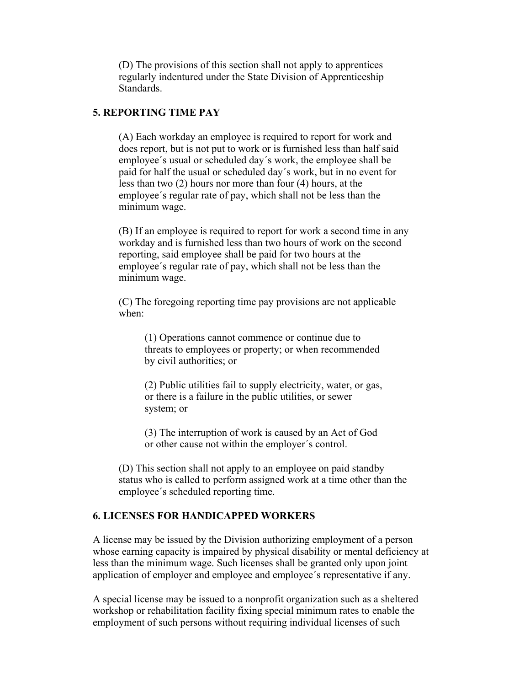(D) The provisions of this section shall not apply to apprentices regularly indentured under the State Division of Apprenticeship **Standards** 

#### **5. REPORTING TIME PAY**

(A) Each workday an employee is required to report for work and does report, but is not put to work or is furnished less than half said employee´s usual or scheduled day´s work, the employee shall be paid for half the usual or scheduled day´s work, but in no event for less than two (2) hours nor more than four (4) hours, at the employee´s regular rate of pay, which shall not be less than the minimum wage.

(B) If an employee is required to report for work a second time in any workday and is furnished less than two hours of work on the second reporting, said employee shall be paid for two hours at the employee´s regular rate of pay, which shall not be less than the minimum wage.

(C) The foregoing reporting time pay provisions are not applicable when:

(1) Operations cannot commence or continue due to threats to employees or property; or when recommended by civil authorities; or

(2) Public utilities fail to supply electricity, water, or gas, or there is a failure in the public utilities, or sewer system; or

(3) The interruption of work is caused by an Act of God or other cause not within the employer´s control.

(D) This section shall not apply to an employee on paid standby status who is called to perform assigned work at a time other than the employee´s scheduled reporting time.

## **6. LICENSES FOR HANDICAPPED WORKERS**

A license may be issued by the Division authorizing employment of a person whose earning capacity is impaired by physical disability or mental deficiency at less than the minimum wage. Such licenses shall be granted only upon joint application of employer and employee and employee´s representative if any.

A special license may be issued to a nonprofit organization such as a sheltered workshop or rehabilitation facility fixing special minimum rates to enable the employment of such persons without requiring individual licenses of such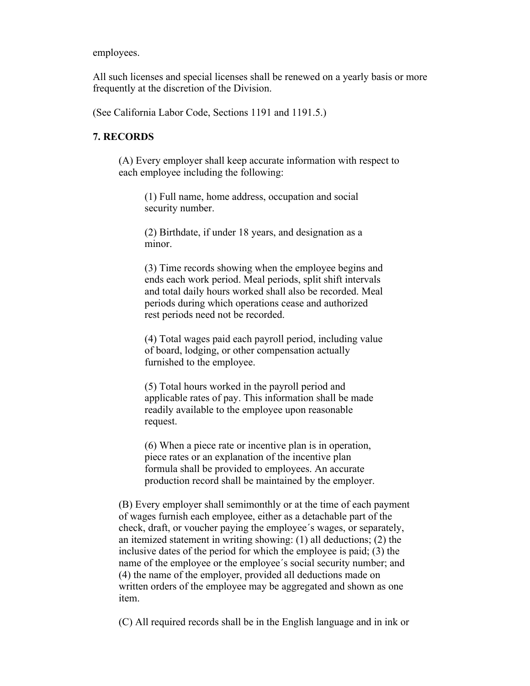employees.

All such licenses and special licenses shall be renewed on a yearly basis or more frequently at the discretion of the Division.

(See California Labor Code, Sections 1191 and 1191.5.)

## **7. RECORDS**

(A) Every employer shall keep accurate information with respect to each employee including the following:

(1) Full name, home address, occupation and social security number.

(2) Birthdate, if under 18 years, and designation as a minor.

(3) Time records showing when the employee begins and ends each work period. Meal periods, split shift intervals and total daily hours worked shall also be recorded. Meal periods during which operations cease and authorized rest periods need not be recorded.

(4) Total wages paid each payroll period, including value of board, lodging, or other compensation actually furnished to the employee.

(5) Total hours worked in the payroll period and applicable rates of pay. This information shall be made readily available to the employee upon reasonable request.

(6) When a piece rate or incentive plan is in operation, piece rates or an explanation of the incentive plan formula shall be provided to employees. An accurate production record shall be maintained by the employer.

(B) Every employer shall semimonthly or at the time of each payment of wages furnish each employee, either as a detachable part of the check, draft, or voucher paying the employee´s wages, or separately, an itemized statement in writing showing: (1) all deductions; (2) the inclusive dates of the period for which the employee is paid; (3) the name of the employee or the employee´s social security number; and (4) the name of the employer, provided all deductions made on written orders of the employee may be aggregated and shown as one item.

(C) All required records shall be in the English language and in ink or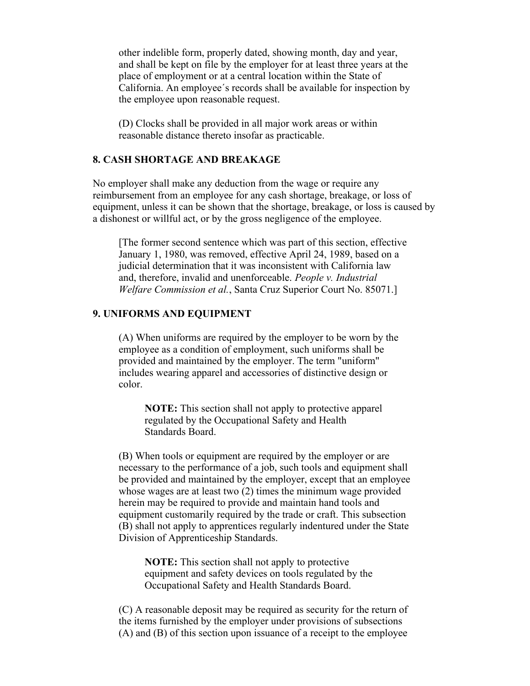other indelible form, properly dated, showing month, day and year, and shall be kept on file by the employer for at least three years at the place of employment or at a central location within the State of California. An employee´s records shall be available for inspection by the employee upon reasonable request.

(D) Clocks shall be provided in all major work areas or within reasonable distance thereto insofar as practicable.

## **8. CASH SHORTAGE AND BREAKAGE**

No employer shall make any deduction from the wage or require any reimbursement from an employee for any cash shortage, breakage, or loss of equipment, unless it can be shown that the shortage, breakage, or loss is caused by a dishonest or willful act, or by the gross negligence of the employee.

[The former second sentence which was part of this section, effective January 1, 1980, was removed, effective April 24, 1989, based on a judicial determination that it was inconsistent with California law and, therefore, invalid and unenforceable. *People v. Industrial Welfare Commission et al.*, Santa Cruz Superior Court No. 85071.]

#### **9. UNIFORMS AND EQUIPMENT**

(A) When uniforms are required by the employer to be worn by the employee as a condition of employment, such uniforms shall be provided and maintained by the employer. The term "uniform" includes wearing apparel and accessories of distinctive design or color.

**NOTE:** This section shall not apply to protective apparel regulated by the Occupational Safety and Health Standards Board.

(B) When tools or equipment are required by the employer or are necessary to the performance of a job, such tools and equipment shall be provided and maintained by the employer, except that an employee whose wages are at least two  $(2)$  times the minimum wage provided herein may be required to provide and maintain hand tools and equipment customarily required by the trade or craft. This subsection (B) shall not apply to apprentices regularly indentured under the State Division of Apprenticeship Standards.

**NOTE:** This section shall not apply to protective equipment and safety devices on tools regulated by the Occupational Safety and Health Standards Board.

(C) A reasonable deposit may be required as security for the return of the items furnished by the employer under provisions of subsections (A) and (B) of this section upon issuance of a receipt to the employee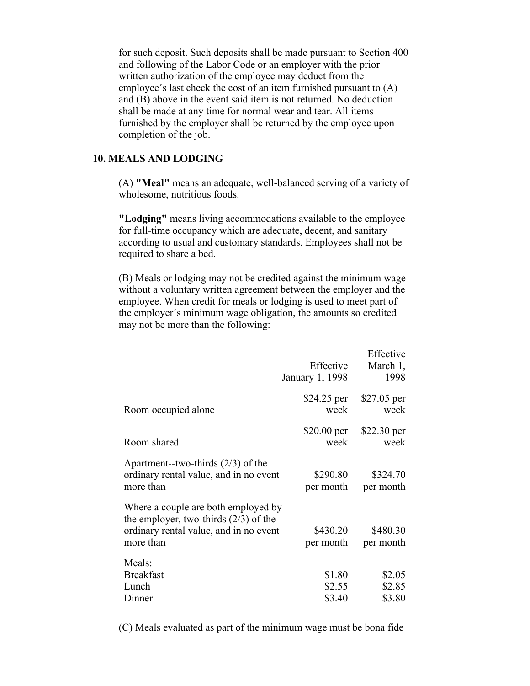for such deposit. Such deposits shall be made pursuant to Section 400 and following of the Labor Code or an employer with the prior written authorization of the employee may deduct from the employee´s last check the cost of an item furnished pursuant to (A) and (B) above in the event said item is not returned. No deduction shall be made at any time for normal wear and tear. All items furnished by the employer shall be returned by the employee upon completion of the job.

## **10. MEALS AND LODGING**

(A) **"Meal"** means an adequate, well-balanced serving of a variety of wholesome, nutritious foods.

**"Lodging"** means living accommodations available to the employee for full-time occupancy which are adequate, decent, and sanitary according to usual and customary standards. Employees shall not be required to share a bed.

(B) Meals or lodging may not be credited against the minimum wage without a voluntary written agreement between the employer and the employee. When credit for meals or lodging is used to meet part of the employer´s minimum wage obligation, the amounts so credited may not be more than the following:

|                                                                                                                                       | Effective<br>January 1, 1998 | Effective<br>March 1,<br>1998 |
|---------------------------------------------------------------------------------------------------------------------------------------|------------------------------|-------------------------------|
| Room occupied alone                                                                                                                   | \$24.25 per<br>week          | $$27.05$ per<br>week          |
| Room shared                                                                                                                           | $$20.00$ per<br>week         | $$22.30$ per<br>week          |
| Apartment--two-thirds $(2/3)$ of the<br>ordinary rental value, and in no event<br>more than                                           | \$290.80<br>per month        | \$324.70<br>per month         |
| Where a couple are both employed by<br>the employer, two-thirds $(2/3)$ of the<br>ordinary rental value, and in no event<br>more than | \$430.20<br>per month        | \$480.30<br>per month         |
| Meals:<br><b>Breakfast</b><br>Lunch<br>Dinner                                                                                         | \$1.80<br>\$2.55<br>\$3.40   | \$2.05<br>\$2.85<br>\$3.80    |

(C) Meals evaluated as part of the minimum wage must be bona fide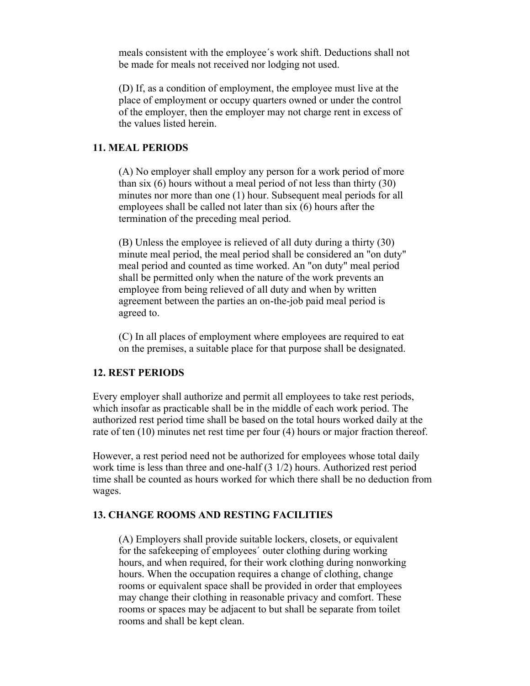meals consistent with the employee´s work shift. Deductions shall not be made for meals not received nor lodging not used.

(D) If, as a condition of employment, the employee must live at the place of employment or occupy quarters owned or under the control of the employer, then the employer may not charge rent in excess of the values listed herein.

## **11. MEAL PERIODS**

(A) No employer shall employ any person for a work period of more than six (6) hours without a meal period of not less than thirty (30) minutes nor more than one (1) hour. Subsequent meal periods for all employees shall be called not later than six (6) hours after the termination of the preceding meal period.

(B) Unless the employee is relieved of all duty during a thirty (30) minute meal period, the meal period shall be considered an "on duty" meal period and counted as time worked. An "on duty" meal period shall be permitted only when the nature of the work prevents an employee from being relieved of all duty and when by written agreement between the parties an on-the-job paid meal period is agreed to.

(C) In all places of employment where employees are required to eat on the premises, a suitable place for that purpose shall be designated.

#### **12. REST PERIODS**

Every employer shall authorize and permit all employees to take rest periods, which insofar as practicable shall be in the middle of each work period. The authorized rest period time shall be based on the total hours worked daily at the rate of ten (10) minutes net rest time per four (4) hours or major fraction thereof.

However, a rest period need not be authorized for employees whose total daily work time is less than three and one-half (3 1/2) hours. Authorized rest period time shall be counted as hours worked for which there shall be no deduction from wages.

#### **13. CHANGE ROOMS AND RESTING FACILITIES**

(A) Employers shall provide suitable lockers, closets, or equivalent for the safekeeping of employees´ outer clothing during working hours, and when required, for their work clothing during nonworking hours. When the occupation requires a change of clothing, change rooms or equivalent space shall be provided in order that employees may change their clothing in reasonable privacy and comfort. These rooms or spaces may be adjacent to but shall be separate from toilet rooms and shall be kept clean.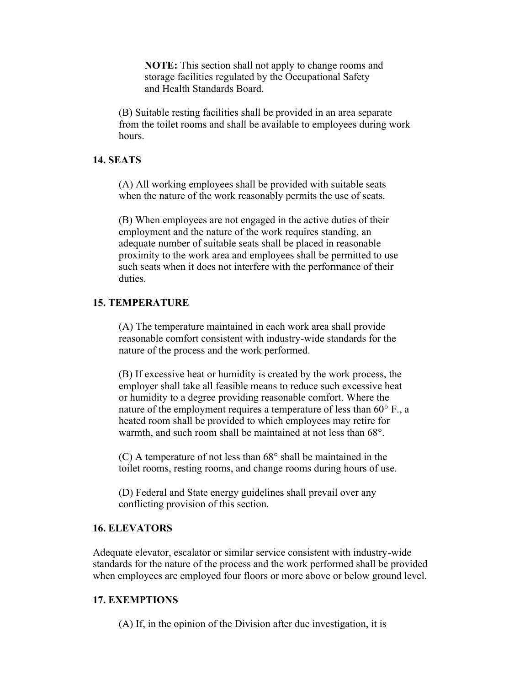**NOTE:** This section shall not apply to change rooms and storage facilities regulated by the Occupational Safety and Health Standards Board.

(B) Suitable resting facilities shall be provided in an area separate from the toilet rooms and shall be available to employees during work hours.

#### **14. SEATS**

(A) All working employees shall be provided with suitable seats when the nature of the work reasonably permits the use of seats.

(B) When employees are not engaged in the active duties of their employment and the nature of the work requires standing, an adequate number of suitable seats shall be placed in reasonable proximity to the work area and employees shall be permitted to use such seats when it does not interfere with the performance of their duties.

#### **15. TEMPERATURE**

(A) The temperature maintained in each work area shall provide reasonable comfort consistent with industry-wide standards for the nature of the process and the work performed.

(B) If excessive heat or humidity is created by the work process, the employer shall take all feasible means to reduce such excessive heat or humidity to a degree providing reasonable comfort. Where the nature of the employment requires a temperature of less than 60° F., a heated room shall be provided to which employees may retire for warmth, and such room shall be maintained at not less than 68°.

(C) A temperature of not less than 68° shall be maintained in the toilet rooms, resting rooms, and change rooms during hours of use.

(D) Federal and State energy guidelines shall prevail over any conflicting provision of this section.

## **16. ELEVATORS**

Adequate elevator, escalator or similar service consistent with industry-wide standards for the nature of the process and the work performed shall be provided when employees are employed four floors or more above or below ground level.

## **17. EXEMPTIONS**

(A) If, in the opinion of the Division after due investigation, it is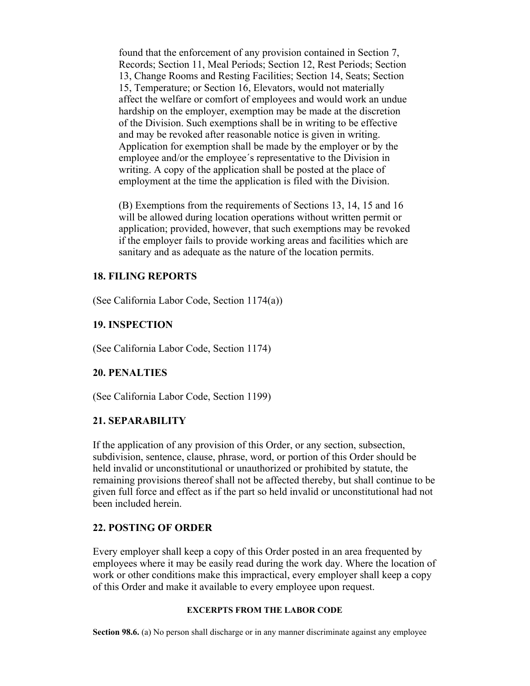found that the enforcement of any provision contained in Section 7, Records; Section 11, Meal Periods; Section 12, Rest Periods; Section 13, Change Rooms and Resting Facilities; Section 14, Seats; Section 15, Temperature; or Section 16, Elevators, would not materially affect the welfare or comfort of employees and would work an undue hardship on the employer, exemption may be made at the discretion of the Division. Such exemptions shall be in writing to be effective and may be revoked after reasonable notice is given in writing. Application for exemption shall be made by the employer or by the employee and/or the employee´s representative to the Division in writing. A copy of the application shall be posted at the place of employment at the time the application is filed with the Division.

(B) Exemptions from the requirements of Sections 13, 14, 15 and 16 will be allowed during location operations without written permit or application; provided, however, that such exemptions may be revoked if the employer fails to provide working areas and facilities which are sanitary and as adequate as the nature of the location permits.

## **18. FILING REPORTS**

(See California Labor Code, Section 1174(a))

#### **19. INSPECTION**

(See California Labor Code, Section 1174)

## **20. PENALTIES**

(See California Labor Code, Section 1199)

#### **21. SEPARABILITY**

If the application of any provision of this Order, or any section, subsection, subdivision, sentence, clause, phrase, word, or portion of this Order should be held invalid or unconstitutional or unauthorized or prohibited by statute, the remaining provisions thereof shall not be affected thereby, but shall continue to be given full force and effect as if the part so held invalid or unconstitutional had not been included herein.

## **22. POSTING OF ORDER**

Every employer shall keep a copy of this Order posted in an area frequented by employees where it may be easily read during the work day. Where the location of work or other conditions make this impractical, every employer shall keep a copy of this Order and make it available to every employee upon request.

#### **EXCERPTS FROM THE LABOR CODE**

**Section 98.6.** (a) No person shall discharge or in any manner discriminate against any employee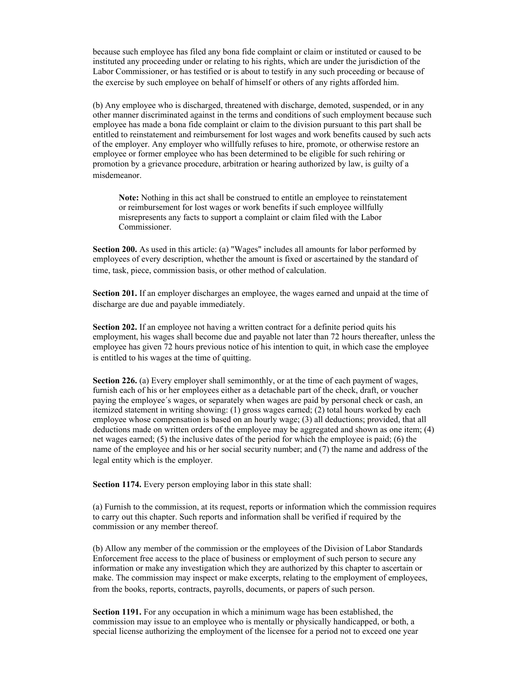because such employee has filed any bona fide complaint or claim or instituted or caused to be instituted any proceeding under or relating to his rights, which are under the jurisdiction of the Labor Commissioner, or has testified or is about to testify in any such proceeding or because of the exercise by such employee on behalf of himself or others of any rights afforded him.

(b) Any employee who is discharged, threatened with discharge, demoted, suspended, or in any other manner discriminated against in the terms and conditions of such employment because such employee has made a bona fide complaint or claim to the division pursuant to this part shall be entitled to reinstatement and reimbursement for lost wages and work benefits caused by such acts of the employer. Any employer who willfully refuses to hire, promote, or otherwise restore an employee or former employee who has been determined to be eligible for such rehiring or promotion by a grievance procedure, arbitration or hearing authorized by law, is guilty of a misdemeanor.

**Note:** Nothing in this act shall be construed to entitle an employee to reinstatement or reimbursement for lost wages or work benefits if such employee willfully misrepresents any facts to support a complaint or claim filed with the Labor Commissioner.

**Section 200.** As used in this article: (a) "Wages" includes all amounts for labor performed by employees of every description, whether the amount is fixed or ascertained by the standard of time, task, piece, commission basis, or other method of calculation.

**Section 201.** If an employer discharges an employee, the wages earned and unpaid at the time of discharge are due and payable immediately.

**Section 202.** If an employee not having a written contract for a definite period quits his employment, his wages shall become due and payable not later than 72 hours thereafter, unless the employee has given 72 hours previous notice of his intention to quit, in which case the employee is entitled to his wages at the time of quitting.

**Section 226.** (a) Every employer shall semimonthly, or at the time of each payment of wages, furnish each of his or her employees either as a detachable part of the check, draft, or voucher paying the employee´s wages, or separately when wages are paid by personal check or cash, an itemized statement in writing showing: (1) gross wages earned; (2) total hours worked by each employee whose compensation is based on an hourly wage; (3) all deductions; provided, that all deductions made on written orders of the employee may be aggregated and shown as one item; (4) net wages earned; (5) the inclusive dates of the period for which the employee is paid; (6) the name of the employee and his or her social security number; and (7) the name and address of the legal entity which is the employer.

**Section 1174.** Every person employing labor in this state shall:

(a) Furnish to the commission, at its request, reports or information which the commission requires to carry out this chapter. Such reports and information shall be verified if required by the commission or any member thereof.

(b) Allow any member of the commission or the employees of the Division of Labor Standards Enforcement free access to the place of business or employment of such person to secure any information or make any investigation which they are authorized by this chapter to ascertain or make. The commission may inspect or make excerpts, relating to the employment of employees, from the books, reports, contracts, payrolls, documents, or papers of such person.

**Section 1191.** For any occupation in which a minimum wage has been established, the commission may issue to an employee who is mentally or physically handicapped, or both, a special license authorizing the employment of the licensee for a period not to exceed one year